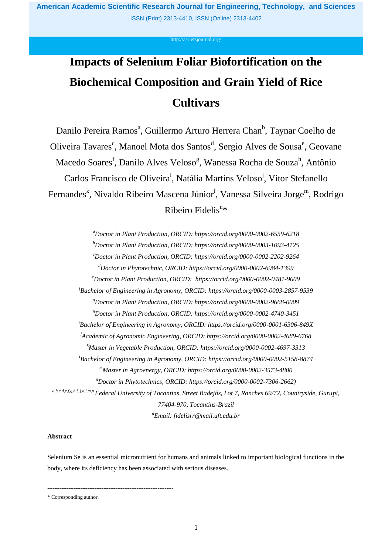**American Academic Scientific Research Journal for Engineering, Technology, and Sciences**  ISSN (Print) 2313-4410, ISSN (Online) 2313-4402

#### <http://asrjetsjournal.org/>

# **Impacts of Selenium Foliar Biofortification on the Biochemical Composition and Grain Yield of Rice Cultivars**

Danilo Pereira Ramos<sup>a</sup>, Guillermo Arturo Herrera Chan<sup>b</sup>, Taynar Coelho de Oliveira Tavares<sup>c</sup>, Manoel Mota dos Santos<sup>d</sup>, Sergio Alves de Sousa<sup>e</sup>, Geovane Macedo Soares<sup>f</sup>, Danilo Alves Veloso<sup>g</sup>, Wanessa Rocha de Souza<sup>h</sup>, Antônio Carlos Francisco de Oliveira<sup>i</sup>, Natália Martins Veloso<sup>j</sup>, Vitor Stefanello Fernandes<sup>k</sup>, Nivaldo Ribeiro Mascena Júnior<sup>l</sup>, Vanessa Silveira Jorge<sup>m</sup>, Rodrigo Ribeiro Fidelis<sup>n\*</sup>

*<sup>a</sup>Doctor in Plant Production, ORCID: https://orcid.org/0000-0002-6559-6218 <sup>b</sup>Doctor in Plant Production, ORCID: https://orcid.org/0000-0003-1093-4125 <sup>c</sup>Doctor in Plant Production, ORCID: https://orcid.org/0000-0002-2202-9264 <sup>d</sup>Doctor in Phytotechnic, ORCID: https://orcid.org/0000-0002-6984-1399 <sup>e</sup>Doctor in Plant Production, ORCID: https://orcid.org/0000-0002-0481-9609 <sup>f</sup>Bachelor of Engineering in Agronomy, ORCID: https://orcid.org/0000-0003-2857-9539 <sup>g</sup>Doctor in Plant Production, ORCID: https://orcid.org/0000-0002-9668-0009 <sup>h</sup>Doctor in Plant Production, ORCID: https://orcid.org/0000-0002-4740-3451 <sup>i</sup>Bachelor of Engineering in Agronomy, ORCID: https://orcid.org/0000-0001-6306-849X <sup>j</sup>Academic of Agronomic Engineering, ORCID: https://orcid.org/0000-0002-4689-6768 <sup>k</sup>Master in Vegetable Production, ORCID: https://orcid.org/0000-0002-4697-3313 <sup>l</sup>Bachelor of Engineering in Agronomy, ORCID: https://orcid.org/0000-0002-5158-8874 <sup>m</sup>Master in Agroenergy, ORCID: https://orcid.org/0000-0002-3573-4800 <sup>n</sup>Doctor in Phytotechnics, ORCID: https://orcid.org/0000-0002-7306-2662) a,b,c,d,e,f,g,h,i, j,h,l,m,n Federal University of Tocantins, Street Badejós, Lot 7, Ranches 69/72, Countryside, Gurupi, 77404-970, Tocantins-Brazil*

*<sup>n</sup>Email: fidelisrr@mail.uft.edu.br*

## **Abstract**

Selenium Se is an essential micronutrient for humans and animals linked to important biological functions in the body, where its deficiency has been associated with serious diseases.

------------------------------------------------------------------------

\* Corresponding author.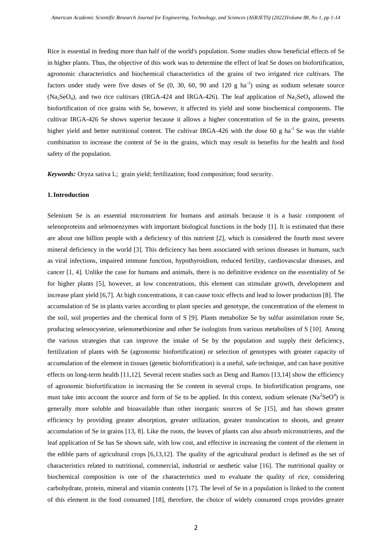Rice is essential in feeding more than half of the world's population. Some studies show beneficial effects of Se in higher plants. Thus, the objective of this work was to determine the effect of leaf Se doses on biofortification, agronomic characteristics and biochemical characteristics of the grains of two irrigated rice cultivars. The factors under study were five doses of Se  $(0, 30, 60, 90, 41, 120, g)$  ha<sup>-1</sup>) using as sodium selenate source  $(Na_2SeO_4)$ , and two rice cultivars (IRGA-424 and IRGA-426). The leaf application of Na<sub>2</sub>SeO<sub>4</sub> allowed the biofortification of rice grains with Se, however, it affected its yield and some biochemical components. The cultivar IRGA-426 Se shows superior because it allows a higher concentration of Se in the grains, presents higher yield and better nutritional content. The cultivar IRGA-426 with the dose 60 g ha<sup>-1</sup> Se was the viable combination to increase the content of Se in the grains, which may result in benefits for the health and food safety of the population.

*Keywords:* Oryza sativa L; grain yield; fertilization; food composition; food security.

#### **1.Introduction**

Selenium Se is an essential micronutrient for humans and animals because it is a basic component of selenoproteins and selenoenzymes with important biological functions in the body [1]. It is estimated that there are about one billion people with a deficiency of this nutrient [2], which is considered the fourth most severe mineral deficiency in the world [3]. This deficiency has been associated with serious diseases in humans, such as viral infections, impaired immune function, hypothyroidism, reduced fertility, cardiovascular diseases, and cancer [1, 4]. Unlike the case for humans and animals, there is no definitive evidence on the essentiality of Se for higher plants [5], however, at low concentrations, this element can stimulate growth, development and increase plant yield [6,7]. At high concentrations, it can cause toxic effects and lead to lower production [8]. The accumulation of Se in plants varies according to plant species and genotype, the concentration of the element in the soil, soil properties and the chemical form of S [9]. Plants metabolize Se by sulfur assimilation route Se, producing selenocysteine, selenomethionine and other Se isologists from various metabolites of S [10]. Among the various strategies that can improve the intake of Se by the population and supply their deficiency, fertilization of plants with Se (agronomic biofortification) or selection of genotypes with greater capacity of accumulation of the element in tissues (genetic biofortification) is a useful, safe technique, and can have positive effects on long-term health [11,12]. Several recent studies such as Deng and Ramos [13,14] show the efficiency of agronomic biofortification in increasing the Se content in several crops. In biofortification programs, one must take into account the source and form of Se to be applied. In this context, sodium selenate  $(Na^2SeO^4)$  is generally more soluble and bioavailable than other inorganic sources of Se [15], and has shown greater efficiency by providing greater absorption, greater utilization, greater translocation to shoots, and greater accumulation of Se in grains [13, 8]. Like the roots, the leaves of plants can also absorb micronutrients, and the leaf application of Se has Se shown safe, with low cost, and effective in increasing the content of the element in the edible parts of agricultural crops [6,13,12]. The quality of the agricultural product is defined as the set of characteristics related to nutritional, commercial, industrial or aesthetic value [16]. The nutritional quality or biochemical composition is one of the characteristics used to evaluate the quality of rice, considering carbohydrate, protein, mineral and vitamin contents [17]. The level of Se in a population is linked to the content of this element in the food consumed [18], therefore, the choice of widely consumed crops provides greater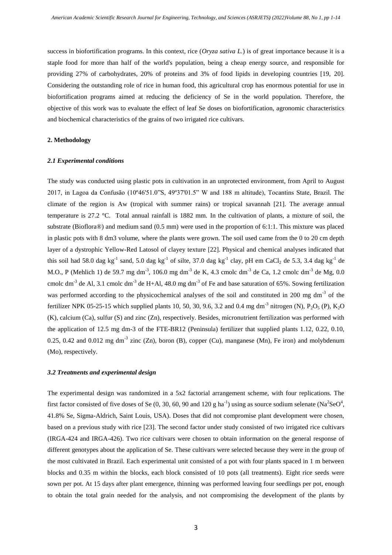success in biofortification programs. In this context, rice (*Oryza sativa L.*) is of great importance because it is a staple food for more than half of the world's population, being a cheap energy source, and responsible for providing 27% of carbohydrates, 20% of proteins and 3% of food lipids in developing countries [19, 20]. Considering the outstanding role of rice in human food, this agricultural crop has enormous potential for use in biofortification programs aimed at reducing the deficiency of Se in the world population. Therefore, the objective of this work was to evaluate the effect of leaf Se doses on biofortification, agronomic characteristics and biochemical characteristics of the grains of two irrigated rice cultivars.

## **2. Methodology**

## *2.1 Experimental conditions*

The study was conducted using plastic pots in cultivation in an unprotected environment, from April to August 2017, in Lagoa da Confusão (10º46'51.0"S, 49º37'01.5" W and 188 m altitude), Tocantins State, Brazil. The climate of the region is Aw (tropical with summer rains) or tropical savannah [21]. The average annual temperature is 27.2 °C. Total annual rainfall is 1882 mm. In the cultivation of plants, a mixture of soil, the substrate (Bioflora®) and medium sand (0.5 mm) were used in the proportion of 6:1:1. This mixture was placed in plastic pots with 8 dm3 volume, where the plants were grown. The soil used came from the 0 to 20 cm depth layer of a dystrophic Yellow-Red Latosol of clayey texture [22]. Physical and chemical analyses indicated that this soil had 58.0 dag kg<sup>-1</sup> sand, 5.0 dag kg<sup>-1</sup> of silte, 37.0 dag kg<sup>-1</sup> clay, pH em CaCl<sub>2</sub> de 5.3, 3.4 dag kg<sup>-1</sup> de M.O., P (Mehlich 1) de 59.7 mg dm<sup>-3</sup>, 106.0 mg dm<sup>-3</sup> de K, 4.3 cmolc dm<sup>-3</sup> de Ca, 1.2 cmolc dm<sup>-3</sup> de Mg, 0.0 cmolc dm<sup>-3</sup> de Al, 3.1 cmolc dm<sup>-3</sup> de H+Al, 48.0 mg dm<sup>-3</sup> of Fe and base saturation of 65%. Sowing fertilization was performed according to the physicochemical analyses of the soil and constituted in 200 mg dm<sup>-3</sup> of the fertilizer NPK 05-25-15 which supplied plants 10, 50, 30, 9.6, 3.2 and 0.4 mg dm<sup>-3</sup> nitrogen (N),  $P_2O_5$  (P),  $K_2O$ (K), calcium (Ca), sulfur (S) and zinc (Zn), respectively. Besides, micronutrient fertilization was performed with the application of 12.5 mg dm-3 of the FTE-BR12 (Peninsula) fertilizer that supplied plants 1.12, 0.22, 0.10, 0.25, 0.42 and 0.012 mg dm<sup>-3</sup> zinc (Zn), boron (B), copper (Cu), manganese (Mn), Fe iron) and molybdenum (Mo), respectively.

## *3.2 Treatments and experimental design*

The experimental design was randomized in a 5x2 factorial arrangement scheme, with four replications. The first factor consisted of five doses of Se (0, 30, 60, 90 and 120 g ha<sup>-1</sup>) using as source sodium selenate (Na<sup>2</sup>SeO<sup>4</sup>, 41.8% Se, Sigma-Aldrich, Saint Louis, USA). Doses that did not compromise plant development were chosen, based on a previous study with rice [23]. The second factor under study consisted of two irrigated rice cultivars (IRGA-424 and IRGA-426). Two rice cultivars were chosen to obtain information on the general response of different genotypes about the application of Se. These cultivars were selected because they were in the group of the most cultivated in Brazil. Each experimental unit consisted of a pot with four plants spaced in 1 m between blocks and 0.35 m within the blocks, each block consisted of 10 pots (all treatments). Eight rice seeds were sown per pot. At 15 days after plant emergence, thinning was performed leaving four seedlings per pot, enough to obtain the total grain needed for the analysis, and not compromising the development of the plants by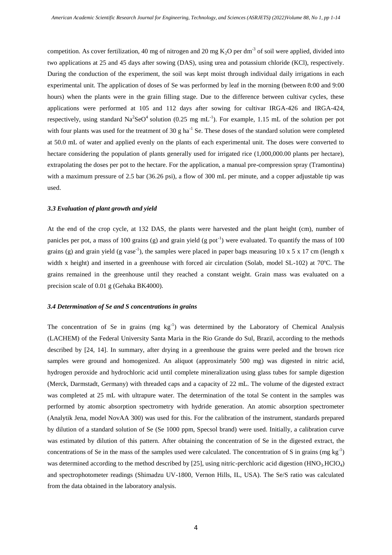competition. As cover fertilization, 40 mg of nitrogen and 20 mg  $K_2O$  per dm<sup>-3</sup> of soil were applied, divided into two applications at 25 and 45 days after sowing (DAS), using urea and potassium chloride (KCl), respectively. During the conduction of the experiment, the soil was kept moist through individual daily irrigations in each experimental unit. The application of doses of Se was performed by leaf in the morning (between 8:00 and 9:00 hours) when the plants were in the grain filling stage. Due to the difference between cultivar cycles, these applications were performed at 105 and 112 days after sowing for cultivar IRGA-426 and IRGA-424, respectively, using standard  $\text{Na}^2\text{SeO}^4$  solution (0.25 mg mL<sup>-1</sup>). For example, 1.15 mL of the solution per pot with four plants was used for the treatment of 30 g ha<sup>-1</sup> Se. These doses of the standard solution were completed at 50.0 mL of water and applied evenly on the plants of each experimental unit. The doses were converted to hectare considering the population of plants generally used for irrigated rice  $(1,000,000.00$  plants per hectare), extrapolating the doses per pot to the hectare. For the application, a manual pre-compression spray (Tramontina) with a maximum pressure of 2.5 bar (36.26 psi), a flow of 300 mL per minute, and a copper adjustable tip was used.

#### *3.3 Evaluation of plant growth and yield*

At the end of the crop cycle, at 132 DAS, the plants were harvested and the plant height (cm), number of panicles per pot, a mass of 100 grains (g) and grain yield (g pot<sup>-1</sup>) were evaluated. To quantify the mass of 100 grains (g) and grain yield (g vase<sup>-1</sup>), the samples were placed in paper bags measuring 10 x 5 x 17 cm (length x width x height) and inserted in a greenhouse with forced air circulation (Solab, model SL-102) at 70ºC. The grains remained in the greenhouse until they reached a constant weight. Grain mass was evaluated on a precision scale of 0.01 g (Gehaka BK4000).

## *3.4 Determination of Se and S concentrations in grains*

The concentration of Se in grains (mg kg<sup>-1</sup>) was determined by the Laboratory of Chemical Analysis (LACHEM) of the Federal University Santa Maria in the Rio Grande do Sul, Brazil, according to the methods described by [24, 14]. In summary, after drying in a greenhouse the grains were peeled and the brown rice samples were ground and homogenized. An aliquot (approximately 500 mg) was digested in nitric acid, hydrogen peroxide and hydrochloric acid until complete mineralization using glass tubes for sample digestion (Merck, Darmstadt, Germany) with threaded caps and a capacity of 22 mL. The volume of the digested extract was completed at 25 mL with ultrapure water. The determination of the total Se content in the samples was performed by atomic absorption spectrometry with hydride generation. An atomic absorption spectrometer (Analytik Jena, model NovAA 300) was used for this. For the calibration of the instrument, standards prepared by dilution of a standard solution of Se (Se 1000 ppm, Specsol brand) were used. Initially, a calibration curve was estimated by dilution of this pattern. After obtaining the concentration of Se in the digested extract, the concentrations of Se in the mass of the samples used were calculated. The concentration of S in grains (mg  $kg^{-1}$ ) was determined according to the method described by [25], using nitric-perchloric acid digestion (HNO<sub>3</sub>-HClO<sub>4</sub>) and spectrophotometer readings (Shimadzu UV-1800, Vernon Hills, IL, USA). The Se/S ratio was calculated from the data obtained in the laboratory analysis.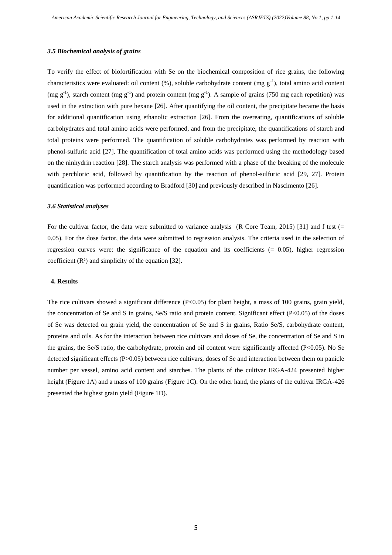#### *3.5 Biochemical analysis of grains*

To verify the effect of biofortification with Se on the biochemical composition of rice grains, the following characteristics were evaluated: oil content  $(\%)$ , soluble carbohydrate content (mg g<sup>-1</sup>), total amino acid content (mg  $g^{-1}$ ), starch content (mg  $g^{-1}$ ) and protein content (mg  $g^{-1}$ ). A sample of grains (750 mg each repetition) was used in the extraction with pure hexane [26]. After quantifying the oil content, the precipitate became the basis for additional quantification using ethanolic extraction [26]. From the overeating, quantifications of soluble carbohydrates and total amino acids were performed, and from the precipitate, the quantifications of starch and total proteins were performed. The quantification of soluble carbohydrates was performed by reaction with phenol-sulfuric acid [27]. The quantification of total amino acids was performed using the methodology based on the ninhydrin reaction [28]. The starch analysis was performed with a phase of the breaking of the molecule with perchloric acid, followed by quantification by the reaction of phenol-sulfuric acid [29, 27]. Protein quantification was performed according to Bradford [30] and previously described in Nascimento [26].

## *3.6 Statistical analyses*

For the cultivar factor, the data were submitted to variance analysis (R Core Team, 2015) [31] and f test (= 0.05). For the dose factor, the data were submitted to regression analysis. The criteria used in the selection of regression curves were: the significance of the equation and its coefficients  $(= 0.05)$ , higher regression coefficient (R²) and simplicity of the equation [32].

#### **4. Results**

The rice cultivars showed a significant difference (P<0.05) for plant height, a mass of 100 grains, grain yield, the concentration of Se and S in grains, Se/S ratio and protein content. Significant effect (P<0.05) of the doses of Se was detected on grain yield, the concentration of Se and S in grains, Ratio Se/S, carbohydrate content, proteins and oils. As for the interaction between rice cultivars and doses of Se, the concentration of Se and S in the grains, the Se/S ratio, the carbohydrate, protein and oil content were significantly affected (P<0.05). No Se detected significant effects (P>0.05) between rice cultivars, doses of Se and interaction between them on panicle number per vessel, amino acid content and starches. The plants of the cultivar IRGA-424 presented higher height (Figure 1A) and a mass of 100 grains (Figure 1C). On the other hand, the plants of the cultivar IRGA-426 presented the highest grain yield (Figure 1D).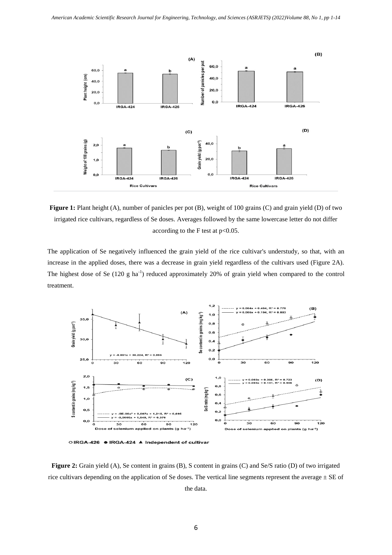

**Figure 1:** Plant height (A), number of panicles per pot (B), weight of 100 grains (C) and grain yield (D) of two irrigated rice cultivars, regardless of Se doses. Averages followed by the same lowercase letter do not differ according to the F test at  $p<0.05$ .

The application of Se negatively influenced the grain yield of the rice cultivar's understudy, so that, with an increase in the applied doses, there was a decrease in grain yield regardless of the cultivars used (Figure 2A). The highest dose of Se  $(120 g ha<sup>-1</sup>)$  reduced approximately 20% of grain yield when compared to the control treatment.



○IRGA-426 ● IRGA-424 ▲ Independent of cultivar

**Figure 2:** Grain yield (A), Se content in grains (B), S content in grains (C) and Se/S ratio (D) of two irrigated rice cultivars depending on the application of Se doses. The vertical line segments represent the average  $\pm$  SE of the data.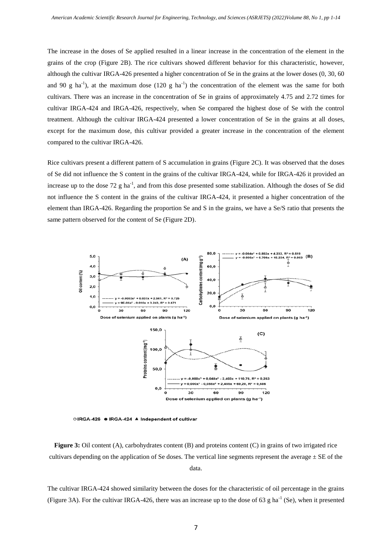The increase in the doses of Se applied resulted in a linear increase in the concentration of the element in the grains of the crop (Figure 2B). The rice cultivars showed different behavior for this characteristic, however, although the cultivar IRGA-426 presented a higher concentration of Se in the grains at the lower doses (0, 30, 60 and 90 g ha<sup>-1</sup>), at the maximum dose (120 g ha<sup>-1</sup>) the concentration of the element was the same for both cultivars. There was an increase in the concentration of Se in grains of approximately 4.75 and 2.72 times for cultivar IRGA-424 and IRGA-426, respectively, when Se compared the highest dose of Se with the control treatment. Although the cultivar IRGA-424 presented a lower concentration of Se in the grains at all doses, except for the maximum dose, this cultivar provided a greater increase in the concentration of the element compared to the cultivar IRGA-426.

Rice cultivars present a different pattern of S accumulation in grains (Figure 2C). It was observed that the doses of Se did not influence the S content in the grains of the cultivar IRGA-424, while for IRGA-426 it provided an increase up to the dose  $72 \text{ g}$  ha<sup>-1</sup>, and from this dose presented some stabilization. Although the doses of Se did not influence the S content in the grains of the cultivar IRGA-424, it presented a higher concentration of the element than IRGA-426. Regarding the proportion Se and S in the grains, we have a Se/S ratio that presents the same pattern observed for the content of Se (Figure 2D).



○IRGA-426 ● IRGA-424 ▲ Independent of cultivar

**Figure 3:** Oil content (A), carbohydrates content (B) and proteins content (C) in grains of two irrigated rice cultivars depending on the application of Se doses. The vertical line segments represent the average  $\pm$  SE of the data.

The cultivar IRGA-424 showed similarity between the doses for the characteristic of oil percentage in the grains (Figure 3A). For the cultivar IRGA-426, there was an increase up to the dose of 63 g ha<sup>-1</sup> (Se), when it presented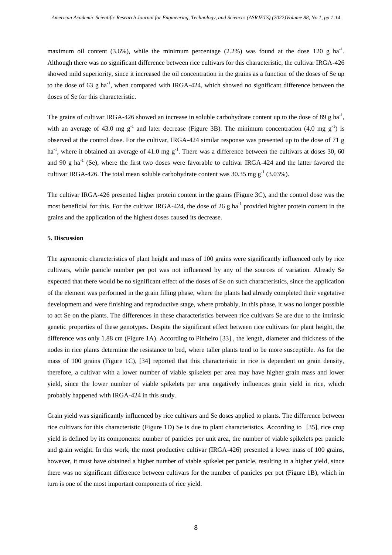maximum oil content  $(3.6\%)$ , while the minimum percentage  $(2.2\%)$  was found at the dose 120 g ha<sup>-1</sup>. Although there was no significant difference between rice cultivars for this characteristic, the cultivar IRGA-426 showed mild superiority, since it increased the oil concentration in the grains as a function of the doses of Se up to the dose of 63 g ha<sup>-1</sup>, when compared with IRGA-424, which showed no significant difference between the doses of Se for this characteristic.

The grains of cultivar IRGA-426 showed an increase in soluble carbohydrate content up to the dose of 89 g ha<sup>-1</sup>, with an average of 43.0 mg  $g^{-1}$  and later decrease (Figure 3B). The minimum concentration (4.0 mg  $g^{-1}$ ) is observed at the control dose. For the cultivar, IRGA-424 similar response was presented up to the dose of 71 g ha<sup>-1</sup>, where it obtained an average of 41.0 mg  $g^{-1}$ . There was a difference between the cultivars at doses 30, 60 and 90 g ha<sup>-1</sup> (Se), where the first two doses were favorable to cultivar IRGA-424 and the latter favored the cultivar IRGA-426. The total mean soluble carbohydrate content was  $30.35$  mg g<sup>-1</sup> (3.03%).

The cultivar IRGA-426 presented higher protein content in the grains (Figure 3C), and the control dose was the most beneficial for this. For the cultivar IRGA-424, the dose of 26 g ha<sup>-1</sup> provided higher protein content in the grains and the application of the highest doses caused its decrease.

#### **5. Discussion**

The agronomic characteristics of plant height and mass of 100 grains were significantly influenced only by rice cultivars, while panicle number per pot was not influenced by any of the sources of variation. Already Se expected that there would be no significant effect of the doses of Se on such characteristics, since the application of the element was performed in the grain filling phase, where the plants had already completed their vegetative development and were finishing and reproductive stage, where probably, in this phase, it was no longer possible to act Se on the plants. The differences in these characteristics between rice cultivars Se are due to the intrinsic genetic properties of these genotypes. Despite the significant effect between rice cultivars for plant height, the difference was only 1.88 cm (Figure 1A). According to Pinheiro [33] , the length, diameter and thickness of the nodes in rice plants determine the resistance to bed, where taller plants tend to be more susceptible. As for the mass of 100 grains (Figure 1C), [34] reported that this characteristic in rice is dependent on grain density, therefore, a cultivar with a lower number of viable spikelets per area may have higher grain mass and lower yield, since the lower number of viable spikelets per area negatively influences grain yield in rice, which probably happened with IRGA-424 in this study.

Grain yield was significantly influenced by rice cultivars and Se doses applied to plants. The difference between rice cultivars for this characteristic (Figure 1D) Se is due to plant characteristics. According to [35], rice crop yield is defined by its components: number of panicles per unit area, the number of viable spikelets per panicle and grain weight. In this work, the most productive cultivar (IRGA-426) presented a lower mass of 100 grains, however, it must have obtained a higher number of viable spikelet per panicle, resulting in a higher yield, since there was no significant difference between cultivars for the number of panicles per pot (Figure 1B), which in turn is one of the most important components of rice yield.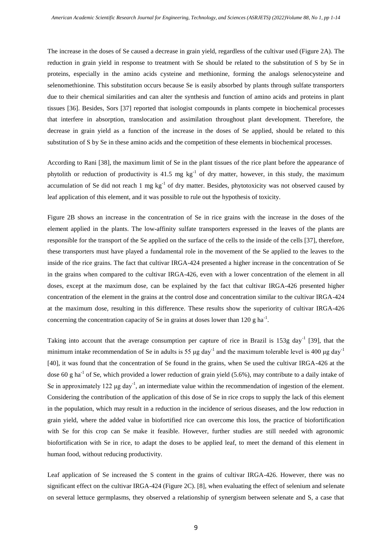The increase in the doses of Se caused a decrease in grain yield, regardless of the cultivar used (Figure 2A). The reduction in grain yield in response to treatment with Se should be related to the substitution of S by Se in proteins, especially in the amino acids cysteine and methionine, forming the analogs selenocysteine and selenomethionine. This substitution occurs because Se is easily absorbed by plants through sulfate transporters due to their chemical similarities and can alter the synthesis and function of amino acids and proteins in plant tissues [36]. Besides, Sors [37] reported that isologist compounds in plants compete in biochemical processes that interfere in absorption, translocation and assimilation throughout plant development. Therefore, the decrease in grain yield as a function of the increase in the doses of Se applied, should be related to this substitution of S by Se in these amino acids and the competition of these elements in biochemical processes.

According to Rani [38], the maximum limit of Se in the plant tissues of the rice plant before the appearance of phytolith or reduction of productivity is 41.5 mg  $kg^{-1}$  of dry matter, however, in this study, the maximum accumulation of Se did not reach 1 mg  $kg^{-1}$  of dry matter. Besides, phytotoxicity was not observed caused by leaf application of this element, and it was possible to rule out the hypothesis of toxicity.

Figure 2B shows an increase in the concentration of Se in rice grains with the increase in the doses of the element applied in the plants. The low-affinity sulfate transporters expressed in the leaves of the plants are responsible for the transport of the Se applied on the surface of the cells to the inside of the cells [37], therefore, these transporters must have played a fundamental role in the movement of the Se applied to the leaves to the inside of the rice grains. The fact that cultivar IRGA-424 presented a higher increase in the concentration of Se in the grains when compared to the cultivar IRGA-426, even with a lower concentration of the element in all doses, except at the maximum dose, can be explained by the fact that cultivar IRGA-426 presented higher concentration of the element in the grains at the control dose and concentration similar to the cultivar IRGA-424 at the maximum dose, resulting in this difference. These results show the superiority of cultivar IRGA-426 concerning the concentration capacity of Se in grains at doses lower than 120 g ha<sup>-1</sup>.

Taking into account that the average consumption per capture of rice in Brazil is 153g day<sup>-1</sup> [39], that the minimum intake recommendation of Se in adults is 55  $\mu$ g day<sup>-1</sup> and the maximum tolerable level is 400  $\mu$ g day<sup>-1</sup> [40], it was found that the concentration of Se found in the grains, when Se used the cultivar IRGA-426 at the dose 60 g ha<sup>-1</sup> of Se, which provided a lower reduction of grain yield (5.6%), may contribute to a daily intake of Se in approximately 122  $\mu$ g day<sup>-1</sup>, an intermediate value within the recommendation of ingestion of the element. Considering the contribution of the application of this dose of Se in rice crops to supply the lack of this element in the population, which may result in a reduction in the incidence of serious diseases, and the low reduction in grain yield, where the added value in biofortified rice can overcome this loss, the practice of biofortification with Se for this crop can Se make it feasible. However, further studies are still needed with agronomic biofortification with Se in rice, to adapt the doses to be applied leaf, to meet the demand of this element in human food, without reducing productivity.

Leaf application of Se increased the S content in the grains of cultivar IRGA-426. However, there was no significant effect on the cultivar IRGA-424 (Figure 2C). [8], when evaluating the effect of selenium and selenate on several lettuce germplasms, they observed a relationship of synergism between selenate and S, a case that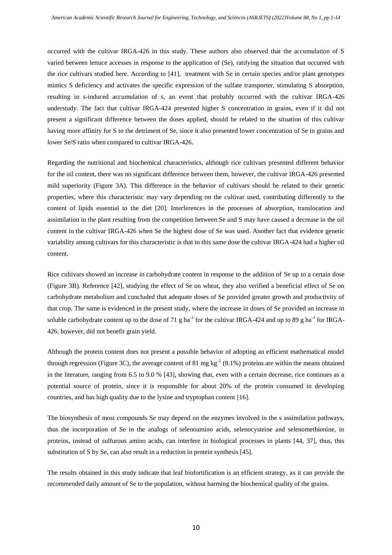occurred with the cultivar IRGA-426 in this study. These authors also observed that the accumulation of S varied between lettuce accesses in response to the application of (Se), ratifying the situation that occurred with the rice cultivars studied here. According to [41], treatment with Se in certain species and/or plant genotypes mimics S deficiency and activates the specific expression of the sulfate transporter, stimulating S absorption, resulting in s-induced accumulation of s, an event that probably occurred with the cultivar IRGA-426 understudy. The fact that cultivar IRGA-424 presented higher S concentration in grains, even if it did not present a significant difference between the doses applied, should be related to the situation of this cultivar having more affinity for S to the detriment of Se, since it also presented lower concentration of Se in grains and lower Se/S ratio when compared to cultivar IRGA-426.

Regarding the nutritional and biochemical characteristics, although rice cultivars presented different behavior for the oil content, there was no significant difference between them, however, the cultivar IRGA-426 presented mild superiority (Figure 3A). This difference in the behavior of cultivars should be related to their genetic properties, where this characteristic may vary depending on the cultivar used, contributing differently to the content of lipids essential to the diet [20]. Interferences in the processes of absorption, translocation and assimilation in the plant resulting from the competition between Se and S may have caused a decrease in the oil content in the cultivar IRGA-426 when Se the highest dose of Se was used. Another fact that evidence genetic variability among cultivars for this characteristic is that in this same dose the cultivar IRGA-424 had a higher oil content.

Rice cultivars showed an increase in carbohydrate content in response to the addition of Se up to a certain dose (Figure 3B). Reference [42], studying the effect of Se on wheat, they also verified a beneficial effect of Se on carbohydrate metabolism and concluded that adequate doses of Se provided greater growth and productivity of that crop. The same is evidenced in the present study, where the increase in doses of Se provided an increase in soluble carbohydrate content up to the dose of 71 g ha<sup>-1</sup> for the cultivar IRGA-424 and up to 89 g ha<sup>-1</sup> for IRGA-426, however, did not benefit grain yield.

Although the protein content does not present a possible behavior of adopting an efficient mathematical model through regression (Figure 3C), the average content of 81 mg kg<sup>-1</sup> (8.1%) proteins are within the means obtained in the literature, ranging from 6.5 to 9.0 % [43], showing that, even with a certain decrease, rice continues as a potential source of protein, since it is responsible for about 20% of the protein consumed in developing countries, and has high quality due to the lysine and tryptophan content [16].

The biosynthesis of most compounds Se may depend on the enzymes involved in the s assimilation pathways, thus the incorporation of Se in the analogs of selenoamino acids, selenocysteine and selenomethionine, in proteins, instead of sulfurous amino acids, can interfere in biological processes in plants [44, 37], thus, this substitution of S by Se, can also result in a reduction in protein synthesis [45].

The results obtained in this study indicate that leaf biofortification is an efficient strategy, as it can provide the recommended daily amount of Se to the population, without harming the biochemical quality of the grains.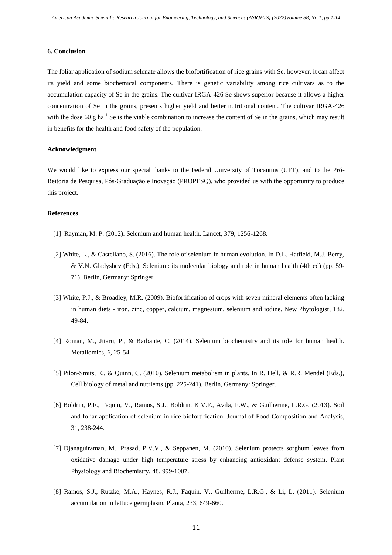## **6. Conclusion**

The foliar application of sodium selenate allows the biofortification of rice grains with Se, however, it can affect its yield and some biochemical components. There is genetic variability among rice cultivars as to the accumulation capacity of Se in the grains. The cultivar IRGA-426 Se shows superior because it allows a higher concentration of Se in the grains, presents higher yield and better nutritional content. The cultivar IRGA-426 with the dose 60 g ha<sup>-1</sup> Se is the viable combination to increase the content of Se in the grains, which may result in benefits for the health and food safety of the population.

## **Acknowledgment**

We would like to express our special thanks to the Federal University of Tocantins (UFT), and to the Pró-Reitoria de Pesquisa, Pós-Graduação e Inovação (PROPESQ), who provided us with the opportunity to produce this project.

## **References**

- [1] Rayman, M. P. (2012). Selenium and human health. Lancet, 379, 1256-1268.
- [2] White, L., & Castellano, S. (2016). The role of selenium in human evolution. In D.L. Hatfield, M.J. Berry, & V.N. Gladyshev (Eds.), Selenium: its molecular biology and role in human health (4th ed) (pp. 59- 71). Berlin, Germany: Springer.
- [3] White, P.J., & Broadley, M.R. (2009). Biofortification of crops with seven mineral elements often lacking in human diets - iron, zinc, copper, calcium, magnesium, selenium and iodine. New Phytologist, 182, 49-84.
- [4] Roman, M., Jitaru, P., & Barbante, C. (2014). Selenium biochemistry and its role for human health. Metallomics, 6, 25-54.
- [5] Pilon-Smits, E., & Quinn, C. (2010). Selenium metabolism in plants. In R. Hell, & R.R. Mendel (Eds.), Cell biology of metal and nutrients (pp. 225-241). Berlin, Germany: Springer.
- [6] Boldrin, P.F., Faquin, V., Ramos, S.J., Boldrin, K.V.F., Avila, F.W., & Guilherme, L.R.G. (2013). Soil and foliar application of selenium in rice biofortification. Journal of Food Composition and Analysis, 31, 238-244.
- [7] Djanaguiraman, M., Prasad, P.V.V., & Seppanen, M. (2010). Selenium protects sorghum leaves from oxidative damage under high temperature stress by enhancing antioxidant defense system. Plant Physiology and Biochemistry, 48, 999-1007.
- [8] Ramos, S.J., Rutzke, M.A., Haynes, R.J., Faquin, V., Guilherme, L.R.G., & Li, L. (2011). Selenium accumulation in lettuce germplasm. Planta, 233, 649-660.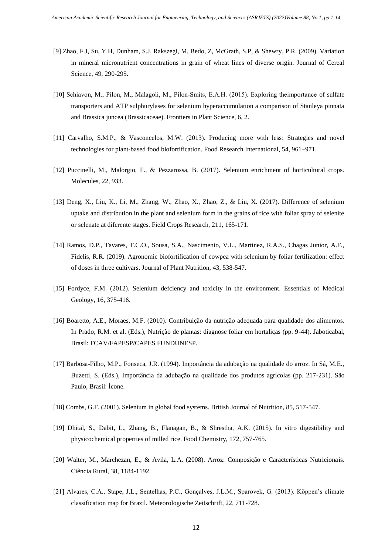- [9] Zhao, F.J, Su, Y.H, Dunham, S.J, Rakszegi, M, Bedo, Z, McGrath, S.P, & Shewry, P.R. (2009). Variation in mineral micronutrient concentrations in grain of wheat lines of diverse origin. Journal of Cereal Science, 49, 290-295.
- [10] Schiavon, M., Pilon, M., Malagoli, M., Pilon-Smits, E.A.H. (2015). Exploring theimportance of sulfate transporters and ATP sulphurylases for selenium hyperaccumulation a comparison of Stanleya pinnata and Brassica juncea (Brassicaceae). Frontiers in Plant Science, 6, 2.
- [11] Carvalho, S.M.P., & Vasconcelos, M.W. (2013). Producing more with less: Strategies and novel technologies for plant-based food biofortification. Food Research International, 54, 961–971.
- [12] Puccinelli, M., Malorgio, F., & Pezzarossa, B. (2017). Selenium enrichment of horticultural crops. Molecules, 22, 933.
- [13] Deng, X., Liu, K., Li, M., Zhang, W., Zhao, X., Zhao, Z., & Liu, X. (2017). Difference of selenium uptake and distribution in the plant and selenium form in the grains of rice with foliar spray of selenite or selenate at diferente stages. Field Crops Research, 211, 165-171.
- [14] Ramos, D.P., Tavares, T.C.O., Sousa, S.A., Nascimento, V.L., Martinez, R.A.S., Chagas Junior, A.F., Fidelis, R.R. (2019). Agronomic biofortification of cowpea with selenium by foliar fertilization: effect of doses in three cultivars. Journal of Plant Nutrition, 43, 538-547.
- [15] Fordyce, F.M. (2012). Selenium defciency and toxicity in the environment. Essentials of Medical Geology, 16, 375-416.
- [16] Boaretto, A.E., Moraes, M.F. (2010). Contribuição da nutrição adequada para qualidade dos alimentos. In Prado, R.M. et al. (Eds.), Nutrição de plantas: diagnose foliar em hortaliças (pp. 9-44). Jaboticabal, Brasil: FCAV/FAPESP/CAPES FUNDUNESP.
- [17] Barbosa-Filho, M.P., Fonseca, J.R. (1994). Importância da adubação na qualidade do arroz. In Sá, M.E., Buzetti, S. (Eds.), Importância da adubação na qualidade dos produtos agrícolas (pp. 217-231). São Paulo, Brasil: Ícone.
- [18] Combs, G.F. (2001). Selenium in global food systems. British Journal of Nutrition, 85, 517-547.
- [19] Dhital, S., Dabit, L., Zhang, B., Flanagan, B., & Shrestha, A.K. (2015). In vitro digestibility and physicochemical properties of milled rice. Food Chemistry, 172, 757-765.
- [20] Walter, M., Marchezan, E., & Avila, L.A. (2008). Arroz: Composição e Características Nutricionais. Ciência Rural, 38, 1184-1192.
- [21] Alvares, C.A., Stape, J.L., Sentelhas, P.C., Gonçalves, J.L.M., Sparovek, G. (2013). Köppen's climate classification map for Brazil. Meteorologische Zeitschrift, 22, 711-728.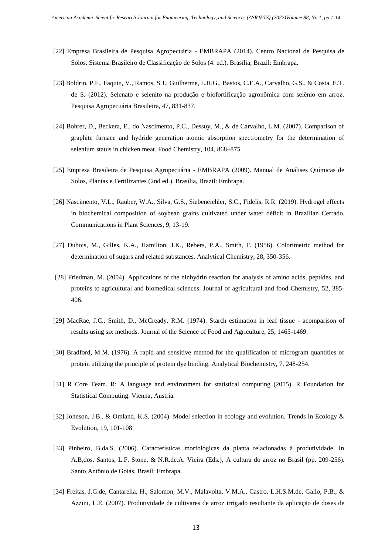- [22] Empresa Brasileira de Pesquisa Agropecuária EMBRAPA (2014). Centro Nacional de Pesquisa de Solos. Sistema Brasileiro de Classificação de Solos (4. ed.). Brasília, Brazil: Embrapa.
- [23] Boldrin, P.F., Faquin, V., Ramos, S.J., Guilherme, L.R.G., Bastos, C.E.A., Carvalho, G.S., & Costa, E.T. de S. (2012). Selenato e selenito na produção e biofortificação agronômica com selênio em arroz. Pesquisa Agropecuária Brasileira, 47, 831-837.
- [24] Bohrer, D., Beckera, E., do Nascimento, P.C., Dessuy, M., & de Carvalho, L.M. (2007). Comparison of graphite furnace and hydride generation atomic absorption spectrometry for the determination of selenium status in chicken meat. Food Chemistry, 104, 868–875.
- [25] Empresa Brasileira de Pesquisa Agropecuária EMBRAPA (2009). Manual de Análises Químicas de Solos, Plantas e Fertilizantes (2nd ed.). Brasília, Brazil: Embrapa.
- [26] Nascimento, V.L., Rauber, W.A., Silva, G.S., Siebeneichler, S.C., Fidelis, R.R. (2019). Hydrogel effects in biochemical composition of soybean grains cultivated under water déficit in Brazilian Cerrado. Communications in Plant Sciences, 9, 13-19.
- [27] Dubois, M., Gilles, K.A., Hamilton, J.K., Rebers, P.A., Smith, F. (1956). Colorimetric method for determination of sugars and related substances. Analytical Chemistry, 28, 350-356.
- [28] Friedman, M. (2004). Applications of the ninhydrin reaction for analysis of amino acids, peptides, and proteins to agricultural and biomedical sciences. Journal of agricultural and food Chemistry, 52, 385- 406.
- [29] MacRae, J.C., Smith, D., McCready, R.M. (1974). Starch estimation in leaf tissue acomparison of results using six methods. Journal of the Science of Food and Agriculture, 25, 1465-1469.
- [30] Bradford, M.M. (1976). A rapid and sensitive method for the qualification of microgram quantities of protein utilizing the principle of protein dye binding. Analytical Biochemistry, 7, 248-254.
- [31] R Core Team. R: A language and environment for statistical computing (2015). R Foundation for Statistical Computing. Vienna, Austria.
- [32] Johnson, J.B., & Omland, K.S. (2004). Model selection in ecology and evolution. Trends in Ecology & Evolution, 19, 101-108.
- [33] Pinheiro, B.da.S. (2006). Características morfológicas da planta relacionadas à produtividade. In A.B,dos. Santos, L.F. Stone, & N.R.de.A. Vieira (Eds.), A cultura do arroz no Brasil (pp. 209-256). Santo Antônio de Goiás, Brasil: Embrapa.
- [34] Freitas, J.G.de, Cantarella, H., Salomon, M.V., Malavolta, V.M.A., Castro, L.H.S.M.de, Gallo, P.B., & Azzini, L.E. (2007). Produtividade de cultivares de arroz irrigado resultante da aplicação de doses de